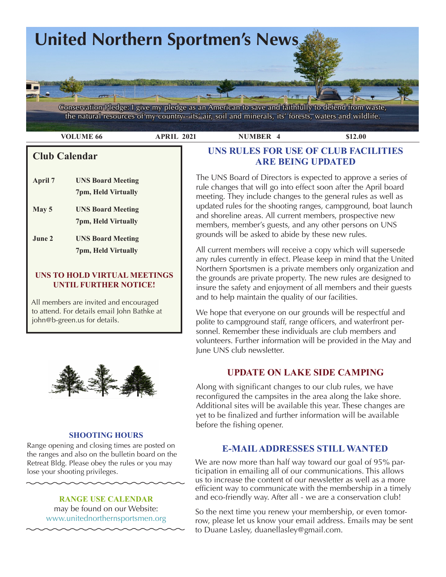

 **VOLUME 66 APRIL 2021 NUMBER 4 \$12.00** 

# **Club Calendar**

- **April 7 UNS Board Meeting 7pm, Held Virtually May 5 UNS Board Meeting**
- **June 2 UNS Board Meeting 7pm, Held Virtually**

#### **UNS TO HOLD VIRTUAL MEETINGS UNTIL FURTHER NOTICE!**

 **7pm, Held Virtually**

All members are invited and encouraged to attend. For details email John Bathke at john@b-green.us for details.



#### **SHOOTING HOURS**

Range opening and closing times are posted on the ranges and also on the bulletin board on the Retreat Bldg. Please obey the rules or you may lose your shooting privileges.

> **RANGE USE CALENDAR**  may be found on our Website: [www.unitednorthernsportsmen.org](http://www.unitednorthernsportsmen.org)

# **UNS RULES FOR USE OF CLUB FACILITIES ARE BEING UPDATED**

The UNS Board of Directors is expected to approve a series of rule changes that will go into effect soon after the April board meeting. They include changes to the general rules as well as updated rules for the shooting ranges, campground, boat launch and shoreline areas. All current members, prospective new members, member's guests, and any other persons on UNS grounds will be asked to abide by these new rules.

All current members will receive a copy which will supersede any rules currently in effect. Please keep in mind that the United Northern Sportsmen is a private members only organization and the grounds are private property. The new rules are designed to insure the safety and enjoyment of all members and their guests and to help maintain the quality of our facilities.

Yorik's blender <sup>g</sup> pinterest.se We hope that everyone on our grounds will be respectful and polite to campground staff, range officers, and waterfront personnel. Remember these individuals are club members and volunteers. Further information will be provided in the May and June UNS club newsletter.

# **UPDATE ON LAKE SIDE CAMPING**

Along with significant changes to our club rules, we have reconfigured the campsites in the area along the lake shore. Additional sites will be available this year. These changes are yet to be finalized and further information will be available before the fishing opener.

# **E-MAIL ADDRESSES STILL WANTED**

We are now more than half way toward our goal of 95% participation in emailing all of our communications. This allows us to increase the content of our newsletter as well as a more efficient way to communicate with the membership in a timely and eco-friendly way. After all - we are a conservation club!

So the next time you renew your membership, or even tomorrow, please let us know your email address. Emails may be sent to Duane Lasley, duanellasley@gmail.com.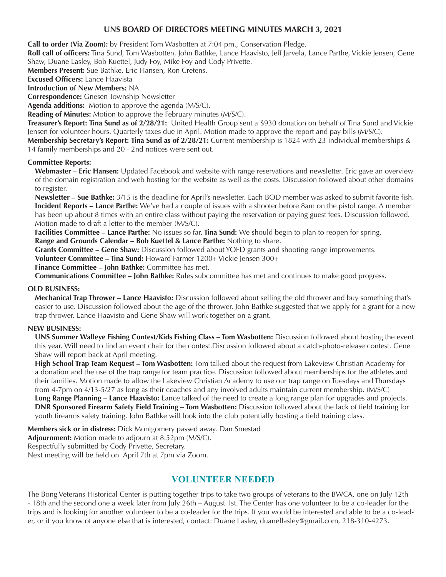#### **UNS BOARD OF DIRECTORS MEETING MINUTES MARCH 3, 2021**

**Call to order (Via Zoom):** by President Tom Wasbotten at 7:04 pm., Conservation Pledge.

**Roll call of officers:** Tina Sund, Tom Wasbotten, John Bathke, Lance Haavisto, Jeff Jarvela, Lance Parthe, Vickie Jensen, Gene Shaw, Duane Lasley, Bob Kuettel, Judy Foy, Mike Foy and Cody Privette.

**Members Present:** Sue Bathke, Eric Hansen, Ron Cretens.

**Excused Officers:** Lance Haavista

**Introduction of New Members:** NA **Correspondence:** Gnesen Township Newsletter

**Agenda additions:** Motion to approve the agenda (M/S/C).

**Reading of Minutes:** Motion to approve the February minutes (M/S/C).

**Treasurer's Report: Tina Sund as of 2/28/21:** United Health Group sent a \$930 donation on behalf of Tina Sund and Vickie Jensen for volunteer hours. Quarterly taxes due in April. Motion made to approve the report and pay bills (M/S/C).

**Membership Secretary's Report: Tina Sund as of 2/28/21:** Current membership is 1824 with 23 individual memberships & 14 family memberships and 20 - 2nd notices were sent out.

#### **Committee Reports:**

**Webmaster – Eric Hansen:** Updated Facebook and website with range reservations and newsletter. Eric gave an overview of the domain registration and web hosting for the website as well as the costs. Discussion followed about other domains to register.

**Newsletter – Sue Bathke:** 3/15 is the deadline for April's newsletter. Each BOD member was asked to submit favorite fish. **Incident Reports – Lance Parthe:** We've had a couple of issues with a shooter before 8am on the pistol range. A member has been up about 8 times with an entire class without paying the reservation or paying guest fees. Discussion followed. Motion made to draft a letter to the member (M/S/C).

**Facilities Committee – Lance Parthe:** No issues so far. **Tina Sund:** We should begin to plan to reopen for spring. **Range and Grounds Calendar – Bob Kuettel & Lance Parthe:** Nothing to share.

**Grants Committee – Gene Shaw:** Discussion followed about YOFD grants and shooting range improvements.

**Volunteer Committee – Tina Sund:** Howard Farmer 1200+ Vickie Jensen 300+

**Finance Committee – John Bathke:** Committee has met.

**Communications Committee – John Bathke:** Rules subcommittee has met and continues to make good progress.

#### **OLD BUSINESS:**

**Mechanical Trap Thrower – Lance Haavisto:** Discussion followed about selling the old thrower and buy something that's easier to use. Discussion followed about the age of the thrower. John Bathke suggested that we apply for a grant for a new trap thrower. Lance Haavisto and Gene Shaw will work together on a grant.

#### **NEW BUSINESS:**

**UNS Summer Walleye Fishing Contest/Kids Fishing Class – Tom Wasbotten:** Discussion followed about hosting the event this year. Will need to find an event chair for the contest.Discussion followed about a catch-photo-release contest. Gene Shaw will report back at April meeting.

**High School Trap Team Request – Tom Wasbotten:** Tom talked about the request from Lakeview Christian Academy for a donation and the use of the trap range for team practice. Discussion followed about memberships for the athletes and their families. Motion made to allow the Lakeview Christian Academy to use our trap range on Tuesdays and Thursdays from 4-7pm on 4/13-5/27 as long as their coaches and any involved adults maintain current membership. (M/S/C) **Long Range Planning – Lance Haavisto:** Lance talked of the need to create a long range plan for upgrades and projects. **DNR Sponsored Firearm Safety Field Training – Tom Wasbotten:** Discussion followed about the lack of field training for youth firearms safety training. John Bathke will look into the club potentially hosting a field training class.

**Members sick or in distress:** Dick Montgomery passed away. Dan Smestad **Adjournment:** Motion made to adjourn at 8:52pm (M/S/C). Respectfully submitted by Cody Privette, Secretary. Next meeting will be held on April 7th at 7pm via Zoom.

# **VOLUNTEER NEEDED**

The Bong Veterans Historical Center is putting together trips to take two groups of veterans to the BWCA, one on July 12th - 18th and the second one a week later from July 26th – August 1st. The Center has one volunteer to be a co-leader for the trips and is looking for another volunteer to be a co-leader for the trips. If you would be interested and able to be a co-leader, or if you know of anyone else that is interested, contact: Duane Lasley, duanellasley@gmail.com, 218-310-4273.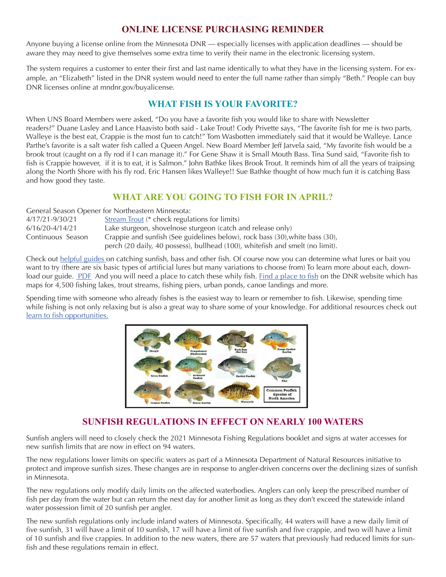### **ONLINE LICENSE PURCHASING REMINDER**

Anyone buying a license online from the Minnesota DNR — especially licenses with application deadlines — should be aware they may need to give themselves some extra time to verify their name in the electronic licensing system.

The system requires a customer to enter their first and last name identically to what they have in the licensing system. For example, an "Elizabeth" listed in the DNR system would need to enter the full name rather than simply "Beth." People can buy DNR licenses online at mndnr.gov/buyalicense.

# **WHAT FISH IS YOUR FAVORITE?**

When UNS Board Members were asked, "Do you have a favorite fish you would like to share with Newsletter readers?" Duane Lasley and Lance Haavisto both said - Lake Trout! Cody Privette says, "The favorite fish for me is two parts, Walleye is the best eat, Crappie is the most fun to catch!" Tom Wasbotten immediately said that it would be Walleye. Lance Parthe's favorite is a salt water fish called a Queen Angel. New Board Member Jeff Jarvela said, "My favorite fish would be a brook trout (caught on a fly rod if I can manage it)." For Gene Shaw it is Small Mouth Bass. Tina Sund said, "Favorite fish to fish is Crappie however, if it is to eat, it is Salmon." John Bathke likes Brook Trout. It reminds him of all the years of traipsing along the North Shore with his fly rod. Eric Hansen likes Walleye!! Sue Bathke thought of how much fun it is catching Bass and how good they taste.

### **WHAT ARE YOU GOING TO FISH FOR IN APRIL?**

|                     | General Season Opener for Northeastern Minnesota:                              |
|---------------------|--------------------------------------------------------------------------------|
| 4/17/21-9/30/21     | Stream Trout (* check regulations for limits)                                  |
| $6/16/20 - 4/14/21$ | Lake sturgeon, shovelnose sturgeon (catch and release only)                    |
| Continuous Season   | Crappie and sunfish (See guidelines below), rock bass (30), white bass (30),   |
|                     | perch (20 daily, 40 possess), bullhead (100), white fish and smelt (no limit). |

Check out [helpful guides](https://www.dnr.state.mn.us/gofishing/how-catch-fish.html) on catching sunfish, bass and other fish. Of course now you can determine what lures or bait you want to try (there are six basic types of artificial lures but many variations to choose from) To learn more about each, down-load our guide. [PDF](https://files.dnr.state.mn.us/education_safety/education/minnaqua/pier_notes/rods_and_reels.pdf) And you will need a place to catch these whily fish. [Find a place to fish](https://www.dnr.state.mn.us/gofishing/where-fish.html) on the DNR website which has maps for 4,500 fishing lakes, trout streams, fishing piers, urban ponds, canoe landings and more.

Spending time with someone who already fishes is the easiest way to learn or remember to fish. Likewise, spending time while fishing is not only relaxing but is also a great way to share some of your knowledge. For additional resources check out [learn to fish opportunities.](https://www.dnr.state.mn.us/gofishing/learn-fish.html)



# **SUNFISH REGULATIONS IN EFFECT ON NEARLY 100 WATERS**

Sunfish anglers will need to closely check the 2021 Minnesota Fishing Regulations booklet and signs at water accesses for new sunfish limits that are now in effect on 94 waters.

The new regulations lower limits on specific waters as part of a Minnesota Department of Natural Resources initiative to protect and improve sunfish sizes. These changes are in response to angler-driven concerns over the declining sizes of sunfish in Minnesota.

The new regulations only modify daily limits on the affected waterbodies. Anglers can only keep the prescribed number of fish per day from the water but can return the next day for another limit as long as they don't exceed the statewide inland water possession limit of 20 sunfish per angler.

The new sunfish regulations only include inland waters of Minnesota. Specifically, 44 waters will have a new daily limit of five sunfish, 31 will have a limit of 10 sunfish, 17 will have a limit of five sunfish and five crappie, and two will have a limit of 10 sunfish and five crappies. In addition to the new waters, there are 57 waters that previously had reduced limits for sunfish and these regulations remain in effect.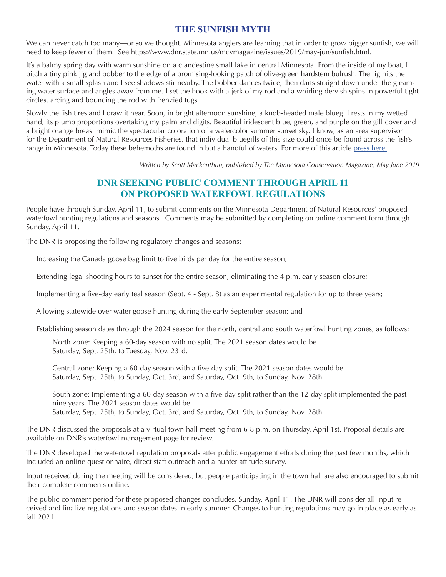### **THE SUNFISH MYTH**

We can never catch too many—or so we thought. Minnesota anglers are learning that in order to grow bigger sunfish, we will need to keep fewer of them. See https://www.dnr.state.mn.us/mcvmagazine/issues/2019/may-jun/sunfish.html.

It's a balmy spring day with warm sunshine on a clandestine small lake in central Minnesota. From the inside of my boat, I pitch a tiny pink jig and bobber to the edge of a promising-looking patch of olive-green hardstem bulrush. The rig hits the water with a small splash and I see shadows stir nearby. The bobber dances twice, then darts straight down under the gleaming water surface and angles away from me. I set the hook with a jerk of my rod and a whirling dervish spins in powerful tight circles, arcing and bouncing the rod with frenzied tugs.

Slowly the fish tires and I draw it near. Soon, in bright afternoon sunshine, a knob-headed male bluegill rests in my wetted hand, its plump proportions overtaking my palm and digits. Beautiful iridescent blue, green, and purple on the gill cover and a bright orange breast mimic the spectacular coloration of a watercolor summer sunset sky. I know, as an area supervisor for the Department of Natural Resources Fisheries, that individual bluegills of this size could once be found across the fish's range in Minnesota. Today these behemoths are found in but a handful of waters. For more of this article [press here.](https://www.dnr.state.mn.us/mcvmagazine/issues/2019/may-jun/sunfish.html)

*Written by Scott Mackenthun, published by The Minnesota Conservation Magazine, May-June 2019*

### **DNR SEEKING PUBLIC COMMENT THROUGH APRIL 11 ON PROPOSED WATERFOWL REGULATIONS**

People have through Sunday, April 11, to submit comments on the Minnesota Department of Natural Resources' proposed waterfowl hunting regulations and seasons. Comments may be submitted by completing on online comment form through Sunday, April 11.

The DNR is proposing the following regulatory changes and seasons:

Increasing the Canada goose bag limit to five birds per day for the entire season;

Extending legal shooting hours to sunset for the entire season, eliminating the 4 p.m. early season closure;

Implementing a five-day early teal season (Sept. 4 - Sept. 8) as an experimental regulation for up to three years;

Allowing statewide over-water goose hunting during the early September season; and

Establishing season dates through the 2024 season for the north, central and south waterfowl hunting zones, as follows:

North zone: Keeping a 60-day season with no split. The 2021 season dates would be Saturday, Sept. 25th, to Tuesday, Nov. 23rd.

Central zone: Keeping a 60-day season with a five-day split. The 2021 season dates would be Saturday, Sept. 25th, to Sunday, Oct. 3rd, and Saturday, Oct. 9th, to Sunday, Nov. 28th.

South zone: Implementing a 60-day season with a five-day split rather than the 12-day split implemented the past nine years. The 2021 season dates would be Saturday, Sept. 25th, to Sunday, Oct. 3rd, and Saturday, Oct. 9th, to Sunday, Nov. 28th.

The DNR discussed the proposals at a virtual town hall meeting from 6-8 p.m. on Thursday, April 1st. Proposal details are available on DNR's waterfowl management page for review.

The DNR developed the waterfowl regulation proposals after public engagement efforts during the past few months, which included an online questionnaire, direct staff outreach and a hunter attitude survey.

Input received during the meeting will be considered, but people participating in the town hall are also encouraged to submit their complete comments online.

The public comment period for these proposed changes concludes, Sunday, April 11. The DNR will consider all input received and finalize regulations and season dates in early summer. Changes to hunting regulations may go in place as early as fall 2021.